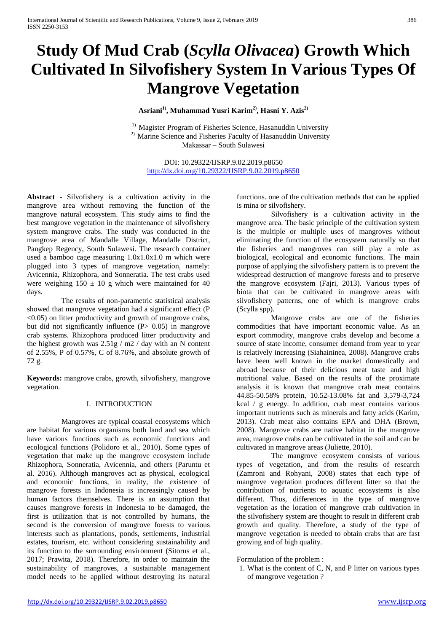# **Study Of Mud Crab (***Scylla Olivacea***) Growth Which Cultivated In Silvofishery System In Various Types Of Mangrove Vegetation**

**Asriani1), Muhammad Yusri Karim2) , Hasni Y. Azis2)**

<sup>1)</sup> Magister Program of Fisheries Science, Hasanuddin University <sup>2)</sup> Marine Science and Fisheries Faculty of Hasanuddin University Makassar – South Sulawesi

DOI: 10.29322/IJSRP.9.02.2019.p8650 <http://dx.doi.org/10.29322/IJSRP.9.02.2019.p8650>

**Abstract** - Silvofishery is a cultivation activity in the mangrove area without removing the function of the mangrove natural ecosystem. This study aims to find the best mangrove vegetation in the maintenance of silvofishery system mangrove crabs. The study was conducted in the mangrove area of Mandalle Village, Mandalle District, Pangkep Regency, South Sulawesi. The research container used a bamboo cage measuring 1.0x1.0x1.0 m which were plugged into 3 types of mangrove vegetation, namely: Avicennia, Rhizophora, and Sonneratia. The test crabs used were weighing  $150 \pm 10$  g which were maintained for 40 days.

The results of non-parametric statistical analysis showed that mangrove vegetation had a significant effect (P  $\leq$ 0.05) on litter productivity and growth of mangrove crabs, but did not significantly influence  $(P> 0.05)$  in mangrove crab systems. Rhizophora produced litter productivity and the highest growth was  $2.51g / m2 / day$  with an N content of 2.55%, P of 0.57%, C of 8.76%, and absolute growth of 72 g.

**Keywords:** mangrove crabs, growth, silvofishery, mangrove vegetation.

## I. INTRODUCTION

Mangroves are typical coastal ecosystems which are habitat for various organisms both land and sea which have various functions such as economic functions and ecological functions (Polidoro et al., 2010). Some types of vegetation that make up the mangrove ecosystem include Rhizophora, Sonneratia, Avicennia, and others (Paruntu et al. 2016). Although mangroves act as physical, ecological and economic functions, in reality, the existence of mangrove forests in Indonesia is increasingly caused by human factors themselves. There is an assumption that causes mangrove forests in Indonesia to be damaged, the first is utilization that is not controlled by humans, the second is the conversion of mangrove forests to various interests such as plantations, ponds, settlements, industrial estates, tourism, etc. without considering sustainability and its function to the surrounding environment (Sitorus et al., 2017; Prawita, 2018). Therefore, in order to maintain the sustainability of mangroves, a sustainable management model needs to be applied without destroying its natural

functions. one of the cultivation methods that can be applied is mina or silvofishery.

Silvofishery is a cultivation activity in the mangrove area. The basic principle of the cultivation system is the multiple or multiple uses of mangroves without eliminating the function of the ecosystem naturally so that the fisheries and mangroves can still play a role as biological, ecological and economic functions. The main purpose of applying the silvofishery pattern is to prevent the widespread destruction of mangrove forests and to preserve the mangrove ecosystem (Fajri, 2013). Various types of biota that can be cultivated in mangrove areas with silvofishery patterns, one of which is mangrove crabs (Scylla spp).

Mangrove crabs are one of the fisheries commodities that have important economic value. As an export commodity, mangrove crabs develop and become a source of state income, consumer demand from year to year is relatively increasing (Siahaininea, 2008). Mangrove crabs have been well known in the market domestically and abroad because of their delicious meat taste and high nutritional value. Based on the results of the proximate analysis it is known that mangrove crab meat contains 44.85-50.58% protein, 10.52-13.08% fat and 3,579-3,724 kcal / g energy. In addition, crab meat contains various important nutrients such as minerals and fatty acids (Karim, 2013). Crab meat also contains EPA and DHA (Brown, 2008). Mangrove crabs are native habitat in the mangrove area, mangrove crabs can be cultivated in the soil and can be cultivated in mangrove areas (Juliette, 2010).

The mangrove ecosystem consists of various types of vegetation, and from the results of research (Zamroni and Rohyani, 2008) states that each type of mangrove vegetation produces different litter so that the contribution of nutrients to aquatic ecosystems is also different. Thus, differences in the type of mangrove vegetation as the location of mangrove crab cultivation in the silvofishery system are thought to result in different crab growth and quality. Therefore, a study of the type of mangrove vegetation is needed to obtain crabs that are fast growing and of high quality.

Formulation of the problem :

1. What is the content of C, N, and P litter on various types of mangrove vegetation ?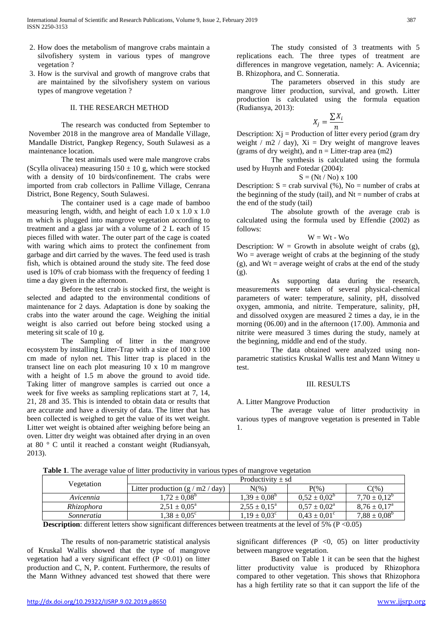- 2. How does the metabolism of mangrove crabs maintain a silvofishery system in various types of mangrove vegetation ?
- 3. How is the survival and growth of mangrove crabs that are maintained by the silvofishery system on various types of mangrove vegetation ?

#### II. THE RESEARCH METHOD

The research was conducted from September to November 2018 in the mangrove area of Mandalle Village, Mandalle District, Pangkep Regency, South Sulawesi as a maintenance location.

The test animals used were male mangrove crabs (Scylla olivacea) measuring  $150 \pm 10$  g, which were stocked with a density of 10 birds/confinement. The crabs were imported from crab collectors in Pallime Village, Cenrana District, Bone Regency, South Sulawesi.

The container used is a cage made of bamboo measuring length, width, and height of each 1.0 x 1.0 x 1.0 m which is plugged into mangrove vegetation according to treatment and a glass jar with a volume of 2 L each of 15 pieces filled with water. The outer part of the cage is coated with waring which aims to protect the confinement from garbage and dirt carried by the waves. The feed used is trash fish, which is obtained around the study site. The feed dose used is 10% of crab biomass with the frequency of feeding 1 time a day given in the afternoon.

Before the test crab is stocked first, the weight is selected and adapted to the environmental conditions of maintenance for 2 days. Adaptation is done by soaking the crabs into the water around the cage. Weighing the initial weight is also carried out before being stocked using a metering sit scale of 10 g.

The Sampling of litter in the mangrove ecosystem by installing Litter-Trap with a size of 100 x 100 cm made of nylon net. This litter trap is placed in the transect line on each plot measuring  $10 \times 10$  m mangrove with a height of 1.5 m above the ground to avoid tide. Taking litter of mangrove samples is carried out once a week for five weeks as sampling replications start at 7, 14, 21, 28 and 35. This is intended to obtain data or results that are accurate and have a diversity of data. The litter that has been collected is weighed to get the value of its wet weight. Litter wet weight is obtained after weighing before being an oven. Litter dry weight was obtained after drying in an oven at 80 ° C until it reached a constant weight (Rudiansyah, 2013).

The study consisted of 3 treatments with 5 replications each. The three types of treatment are differences in mangrove vegetation, namely: A. Avicennia; B. Rhizophora, and C. Sonneratia.

The parameters observed in this study are mangrove litter production, survival, and growth. Litter production is calculated using the formula equation (Rudiansya, 2013):

$$
X_j = \frac{\sum X_i}{n}
$$

Description:  $Xj$  = Production of litter every period (gram dry weight / m2 / day),  $Xi = Dry$  weight of mangrove leaves (grams of dry weight), and  $n =$  Litter-trap area (m2)

The synthesis is calculated using the formula used by Huynh and Fotedar (2004):

$$
S = (Nt / No) \times 100
$$

Description:  $S = \text{crab survival }$  (%), No = number of crabs at the beginning of the study (tail), and  $Nt =$  number of crabs at the end of the study (tail)

The absolute growth of the average crab is calculated using the formula used by Effendie (2002) as follows:

 $W = Wt - W_0$ 

Description:  $W = Growth$  in absolute weight of crabs (g),  $Wo = average weight of crabs at the beginning of the study$ (g), and  $Wt = \text{average weight of crabs at the end of the study}$ (g).

As supporting data during the research, measurements were taken of several physical-chemical parameters of water: temperature, salinity, pH, dissolved oxygen, ammonia, and nitrite. Temperature, salinity, pH, and dissolved oxygen are measured 2 times a day, ie in the morning (06.00) and in the afternoon (17.00). Ammonia and nitrite were measured 3 times during the study, namely at the beginning, middle and end of the study.

The data obtained were analyzed using nonparametric statistics Kruskal Wallis test and Mann Witney u test.

## III. RESULTS

## A. Litter Mangrove Production

The average value of litter productivity in various types of mangrove vegetation is presented in Table 1.

|  | Vegetation                        | Productivity $\pm$ sd              |                         |                            |                         |
|--|-----------------------------------|------------------------------------|-------------------------|----------------------------|-------------------------|
|  |                                   | Litter production $(g/m2 / day)$   | $N(\%)$                 | $P(\%)$                    | $C(\%)$                 |
|  | Avicennia                         | $1.72 \pm 0.08^{\circ}$            | $1.39 \pm 0.08^{\circ}$ | $0.52 \pm 0.02^{\circ}$    | $7.70 \pm 0.12^{\circ}$ |
|  | Rhizophora                        | $2,51 \pm 0,05^{\circ}$            | $2,55 \pm 0,15^{\circ}$ | $0.57 \pm 0.02^{\text{a}}$ | $8.76 \pm 0.17^{\circ}$ |
|  | Sonneratia                        | $1.38 \pm 0.05^{\circ}$            | $1.19 \pm 0.03^{\circ}$ | $0.43 \pm 0.01^{\circ}$    | $7.88 \pm 0.08^{\circ}$ |
|  | 1.00<br>$\cdot$<br>$\blacksquare$ | $\cdot$ $\cdot$ $\sim$<br>$\cdots$ |                         |                            |                         |

**Table 1**. The average value of litter productivity in various types of mangrove vegetation

**Description**: different letters show significant differences between treatments at the level of 5% (P <0.05)

The results of non-parametric statistical analysis of Kruskal Wallis showed that the type of mangrove vegetation had a very significant effect  $(P \le 0.01)$  on litter production and C, N, P. content. Furthermore, the results of the Mann Withney advanced test showed that there were

significant differences  $(P \le 0, 05)$  on litter productivity between mangrove vegetation.

Based on Table 1 it can be seen that the highest litter productivity value is produced by Rhizophora compared to other vegetation. This shows that Rhizophora has a high fertility rate so that it can support the life of the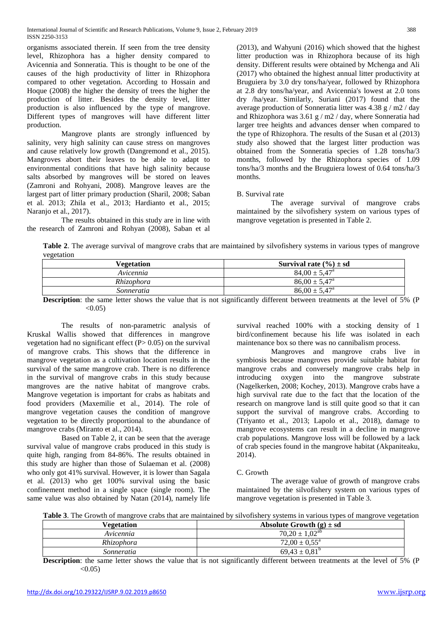organisms associated therein. If seen from the tree density level, Rhizophora has a higher density compared to Avicennia and Sonneratia. This is thought to be one of the causes of the high productivity of litter in Rhizophora compared to other vegetation. According to Hossain and Hoque (2008) the higher the density of trees the higher the production of litter. Besides the density level, litter production is also influenced by the type of mangrove. Different types of mangroves will have different litter production.

Mangrove plants are strongly influenced by salinity, very high salinity can cause stress on mangroves and cause relatively low growth (Dangremond et al., 2015). Mangroves abort their leaves to be able to adapt to environmental conditions that have high salinity because salts absorbed by mangroves will be stored on leaves (Zamroni and Rohyani, 2008). Mangrove leaves are the largest part of litter primary production (Sharil, 2008; Saban et al. 2013; Zhila et al., 2013; Hardianto et al., 2015; Naranjo et al., 2017).

The results obtained in this study are in line with the research of Zamroni and Rohyan (2008), Saban et al

(2013), and Wahyuni (2016) which showed that the highest litter production was in Rhizophora because of its high density. Different results were obtained by Mchenga and Ali (2017) who obtained the highest annual litter productivity at Bruguiera by 3.0 dry tons/ha/year, followed by Rhizophora at 2.8 dry tons/ha/year, and Avicennia's lowest at 2.0 tons dry /ha/year. Similarly, Suriani (2017) found that the average production of Sonneratia litter was 4.38 g / m2 / day and Rhizophora was 3.61 g / m2 / day, where Sonneratia had larger tree heights and advances denser when compared to the type of Rhizophora. The results of the Susan et al (2013) study also showed that the largest litter production was obtained from the Sonneratia species of 1.28 tons/ha/3 months, followed by the Rhizophora species of 1.09 tons/ha/3 months and the Bruguiera lowest of 0.64 tons/ha/3 months.

## B. Survival rate

The average survival of mangrove crabs maintained by the silvofishery system on various types of mangrove vegetation is presented in Table 2.

**Table 2**. The average survival of mangrove crabs that are maintained by silvofishery systems in various types of mangrove vegetation

| Vegetation | Survival rate $(\% ) \pm sd$ |
|------------|------------------------------|
| Avicennia  | $84.00 \pm 5.47^{\circ}$     |
| Rhizophora | $86.00 \pm 5.47^{\circ}$     |
| Sonneratia | $86.00 \pm 5.47^{\circ}$     |

**Description**: the same letter shows the value that is not significantly different between treatments at the level of 5% (P)  $< 0.05$ )

The results of non-parametric analysis of Kruskal Wallis showed that differences in mangrove vegetation had no significant effect  $(P> 0.05)$  on the survival of mangrove crabs. This shows that the difference in mangrove vegetation as a cultivation location results in the survival of the same mangrove crab. There is no difference in the survival of mangrove crabs in this study because mangroves are the native habitat of mangrove crabs. Mangrove vegetation is important for crabs as habitats and food providers (Maxemilie et al., 2014). The role of mangrove vegetation causes the condition of mangrove vegetation to be directly proportional to the abundance of mangrove crabs (Miranto et al., 2014).

Based on Table 2, it can be seen that the average survival value of mangrove crabs produced in this study is quite high, ranging from 84-86%. The results obtained in this study are higher than those of Sulaeman et al. (2008) who only got 41% survival. However, it is lower than Sagala et al. (2013) who get 100% survival using the basic confinement method in a single space (single room). The same value was also obtained by Natan (2014), namely life

survival reached 100% with a stocking density of 1 bird/confinement because his life was isolated in each maintenance box so there was no cannibalism process.

Mangroves and mangrove crabs live in symbiosis because mangroves provide suitable habitat for mangrove crabs and conversely mangrove crabs help in introducing oxygen into the mangrove substrate (Nagelkerken, 2008; Kochey, 2013). Mangrove crabs have a high survival rate due to the fact that the location of the research on mangrove land is still quite good so that it can support the survival of mangrove crabs. According to (Triyanto et al., 2013; Lapolo et al., 2018), damage to mangrove ecosystems can result in a decline in mangrove crab populations. Mangrove loss will be followed by a lack of crab species found in the mangrove habitat (Akpaniteaku, 2014).

## C. Growth

The average value of growth of mangrove crabs maintained by the silvofishery system on various types of mangrove vegetation is presented in Table 3.

**Table 3**. The Growth of mangrove crabs that are maintained by silvofishery systems in various types of mangrove vegetation

| <b>Vegetation</b> | Absolute Growth $(g) \pm sd$ |
|-------------------|------------------------------|
| Avicennia         | $70.20 \pm 1.02^{\text{ab}}$ |
| Rhizophora        | $72.00 \pm 0.55^{\circ}$     |
| Sonneratia        | $69.43 \pm 0.81^{\circ}$     |

**Description**: the same letter shows the value that is not significantly different between treatments at the level of 5% (P  $< 0.05$ )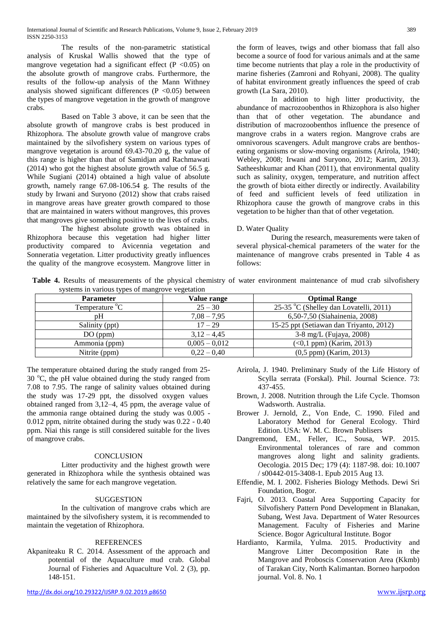The results of the non-parametric statistical analysis of Kruskal Wallis showed that the type of mangrove vegetation had a significant effect ( $P < 0.05$ ) on the absolute growth of mangrove crabs. Furthermore, the results of the follow-up analysis of the Mann Withney analysis showed significant differences  $(P \le 0.05)$  between the types of mangrove vegetation in the growth of mangrove crabs.

Based on Table 3 above, it can be seen that the absolute growth of mangrove crabs is best produced in Rhizophora. The absolute growth value of mangrove crabs maintained by the silvofishery system on various types of mangrove vegetation is around 69.43-70.20 g, the value of this range is higher than that of Samidjan and Rachmawati (2014) who got the highest absolute growth value of 56.5 g. While Sugiani (2014) obtained a high value of absolute growth, namely range 67.08-106.54 g. The results of the study by Irwani and Suryono (2012) show that crabs raised in mangrove areas have greater growth compared to those that are maintained in waters without mangroves, this proves that mangroves give something positive to the lives of crabs.

The highest absolute growth was obtained in Rhizophora because this vegetation had higher litter productivity compared to Avicennia vegetation and Sonneratia vegetation. Litter productivity greatly influences the quality of the mangrove ecosystem. Mangrove litter in the form of leaves, twigs and other biomass that fall also become a source of food for various animals and at the same time become nutrients that play a role in the productivity of marine fisheries (Zamroni and Rohyani, 2008). The quality of habitat environment greatly influences the speed of crab growth (La Sara, 2010).

In addition to high litter productivity, the abundance of macrozoobenthos in Rhizophora is also higher than that of other vegetation. The abundance and distribution of macrozoobenthos influence the presence of mangrove crabs in a waters region. Mangrove crabs are omnivorous scavengers. Adult mangrove crabs are benthoseating organisms or slow-moving organisms (Arirola, 1940; Webley, 2008; Irwani and Suryono, 2012; Karim, 2013). Satheeshkumar and Khan (2011), that environmental quality such as salinity, oxygen, temperature, and nutrition affect the growth of biota either directly or indirectly. Availability of feed and sufficient levels of feed utilization in Rhizophora cause the growth of mangrove crabs in this vegetation to be higher than that of other vegetation.

## D. Water Quality

During the research, measurements were taken of several physical-chemical parameters of the water for the maintenance of mangrove crabs presented in Table 4 as follows:

**Table 4.** Results of measurements of the physical chemistry of water environment maintenance of mud crab silvofishery systems in various types of mangrove vegetation

| <b>Parameter</b> | Value range     | <b>Optimal Range</b>                    |
|------------------|-----------------|-----------------------------------------|
| Temperature °C   | $25 - 30$       | 25-35 °C (Shelley dan Lovatelli, 2011)  |
| pH               | $7,08 - 7,95$   | 6,50-7,50 (Siahainenia, 2008)           |
| Salinity (ppt)   | $17 - 29$       | 15-25 ppt (Setiawan dan Triyanto, 2012) |
| DO (ppm)         | $3.12 - 4.45$   | 3-8 mg/L (Fujaya, 2008)                 |
| Ammonia (ppm)    | $0,005 - 0,012$ | $(<0, 1$ ppm) (Karim, 2013)             |
| Nitrite (ppm)    | $0.22 - 0.40$   | $(0,5$ ppm $)$ (Karim, 2013)            |

The temperature obtained during the study ranged from 25- 30  $^{\circ}$ C, the pH value obtained during the study ranged from 7.08 to 7.95. The range of salinity values obtained during the study was 17-29 ppt, the dissolved oxygen values obtained ranged from 3,12–4, 45 ppm, the average value of the ammonia range obtained during the study was 0.005 - 0.012 ppm, nitrite obtained during the study was 0.22 - 0.40 ppm. Niai this range is still considered suitable for the lives of mangrove crabs.

## **CONCLUSION**

Litter productivity and the highest growth were generated in Rhizophora while the synthesis obtained was relatively the same for each mangrove vegetation.

## **SUGGESTION**

In the cultivation of mangrove crabs which are maintained by the silvofishery system, it is recommended to maintain the vegetation of Rhizophora.

## REFERENCES

Akpaniteaku R C. 2014. Assessment of the approach and potential of the Aquaculture mud crab. Global Journal of Fisheries and Aquaculture Vol. 2 (3), pp. 148-151.

- Arirola, J. 1940. Preliminary Study of the Life History of Scylla serrata (Forskal). Phil. Journal Science. 73: 437-455.
- Brown, J. 2008. Nutrition through the Life Cycle. Thomson Wadsworth. Australia.
- Brower J. Jernold, Z., Von Ende, C. 1990. Filed and Laboratory Method for General Ecology. Third Edition. USA: W. M. C. Brown Publisers
- Dangremond, EM., Feller, IC., Sousa, WP. 2015. Environmental tolerances of rare and common mangroves along light and salinity gradients. Oecologia. 2015 Dec; 179 (4): 1187-98. doi: 10.1007 / s00442-015-3408-1. Epub 2015 Aug 13.
- Effendie, M. I. 2002. Fisheries Biology Methods. Dewi Sri Foundation, Bogor.
- Fajri, O. 2013. Coastal Area Supporting Capacity for Silvofishery Pattern Pond Development in Blanakan, Subang, West Java. Department of Water Resources Management. Faculty of Fisheries and Marine Science. Bogor Agricultural Institute. Bogor
- Hardianto, Karmila, Yulma. 2015. Productivity and Mangrove Litter Decomposition Rate in the Mangrove and Proboscis Conservation Area (Kkmb) of Tarakan City, North Kalimantan. Borneo harpodon journal. Vol. 8. No. 1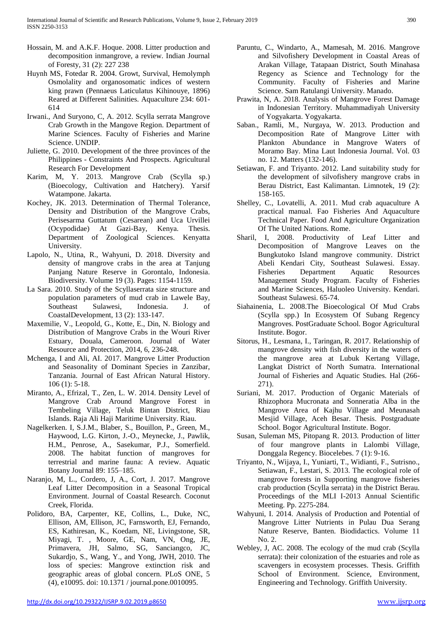- Hossain, M. and A.K.F. Hoque. 2008. Litter production and decomposition inmangrove, a review. Indian Journal of Foresty, 31 (2): 227 238
- Huynh MS, Fotedar R. 2004. Growt, Survival, Hemolymph Osmolality and organosomatic indices of western king prawn (Pennaeus Laticulatus Kihinouye, 1896) Reared at Different Salinities. Aquaculture 234: 601- 614
- Irwani., And Suryono, C, A. 2012. Scylla serrata Mangrove Crab Growth in the Mangove Region. Department of Marine Sciences. Faculty of Fisheries and Marine Science. UNDIP.
- Juliette, G. 2010. Development of the three provinces of the Philippines - Constraints And Prospects. Agricultural Research For Development
- Karim, M, Y. 2013. Mangrove Crab (Scylla sp.) (Bioecology, Cultivation and Hatchery). Yarsif Watampone. Jakarta.
- Kochey, JK. 2013. Determination of Thermal Tolerance, Density and Distribution of the Mangrove Crabs, Perisesarma Guttatum (Cesarean) and Uca Urvillei (Ocypodidae) At Gazi-Bay, Kenya. Thesis. Department of Zoological Sciences. Kenyatta University.
- Lapolo, N., Utina, R., Wahyuni, D. 2018. Diversity and density of mangrove crabs in the area at Tanjung Panjang Nature Reserve in Gorontalo, Indonesia. Biodiversity. Volume 19 (3). Pages: 1154-1159.
- La Sara. 2010. Study of the Scyllaserrata size structure and population parameters of mud crab in Lawele Bay, Southeast Sulawesi, Indonesia. J. of CoastalDevelopment, 13 (2): 133-147.
- Maxemilie, V., Leopold, G., Kotte, E., Din, N. Biology and Distribution of Mangrove Crabs in the Wouri River Estuary, Douala, Cameroon. Journal of Water Resource and Protection, 2014, 6, 236-248.
- Mchenga, I and Ali, AI. 2017. Mangrove Litter Production and Seasonality of Dominant Species in Zanzibar, Tanzania. Journal of East African Natural History. 106 (1): 5-18.
- Miranto, A., Efrizal, T., Zen, L. W. 2014. Density Level of Mangrove Crab Around Mangrove Forest in Tembeling Village, Teluk Bintan District, Riau Islands. Raja Ali Haji Maritime University. Riau.
- Nagelkerken. I, S.J.M., Blaber, S., Bouillon, P., Green, M., Haywood, L.G. Kirton, J.-O., Meynecke, J., Pawlik, H.M., Penrose, A., Sasekumar, P.J., Somerfield. 2008. The habitat function of mangroves for terrestrial and marine fauna: A review. Aquatic Botany Journal 89: 155–185.
- Naranjo, M, L., Cordero, J, A., Cort, J. 2017. Mangrove Leaf Litter Decomposition in a Seasonal Tropical Environment. Journal of Coastal Research. Coconut Creek, Florida.
- Polidoro, BA, Carpenter, KE, Collins, L., Duke, NC, Ellison, AM, Ellison, JC, Farnsworth, EJ, Fernando, ES, Kathiresan, K., Koedam, NE, Livingstone, SR, Miyagi, T. , Moore, GE, Nam, VN, Ong, JE, Primavera, JH, Salmo, SG, Sanciangco, JC, Sukardjo, S., Wang, Y., and Yong, JWH, 2010. The loss of species: Mangrove extinction risk and geographic areas of global concern. PLoS ONE, 5 (4), e10095. doi: 10.1371 / journal.pone.0010095.
	-
- Paruntu, C., Windarto, A., Mamesah, M. 2016. Mangrove and Silvofishery Development in Coastal Areas of Arakan Village, Tatapaan District, South Minahasa Regency as Science and Technology for the Community. Faculty of Fisheries and Marine Science. Sam Ratulangi University. Manado.
- Prawita, N, A. 2018. Analysis of Mangrove Forest Damage in Indonesian Territory. Muhammadiyah University of Yogyakarta. Yogyakarta.
- Saban., Ramli, M., Nurgaya, W. 2013. Production and Decomposition Rate of Mangrove Litter with Plankton Abundance in Mangrove Waters of Moramo Bay. Mina Laut Indonesia Journal. Vol. 03 no. 12. Matters (132-146).
- Setiawan, F. and Triyanto. 2012. Land suitability study for the development of silvofishery mangrove crabs in Berau District, East Kalimantan. Limnotek, 19 (2): 158-165.
- Shelley, C., Lovatelli, A. 2011. Mud crab aquaculture A practical manual. Fao Fisheries And Aquaculture Technical Paper. Food And Agriculture Organization Of The United Nations. Rome.
- Sharil, I, 2008. Productivity of Leaf Litter and Decomposition of Mangrove Leaves on the Bungkutoko Island mangrove community. District Abeli Kendari City, Southeast Sulawesi. Essay. Fisheries Department Aquatic Resources Management Study Program. Faculty of Fisheries and Marine Sciences, Haluoleo University. Kendari. Southeast Sulawesi. 65-74.
- Siahainenia, L. 2008.The Bioecological Of Mud Crabs (Scylla spp.) In Ecosystem Of Subang Regency Mangroves. PostGraduate School. Bogor Agricultural Institute. Bogor.
- Sitorus, H., Lesmana, I., Taringan, R. 2017. Relationship of mangrove density with fish diversity in the waters of the mangrove area at Lubuk Kertang Village, Langkat District of North Sumatra. International Journal of Fisheries and Aquatic Studies. Hal (266- 271).
- Suriani, M. 2017. Production of Organic Materials of Rhizophora Mucronata and Sonneratia Alba in the Mangrove Area of Kajhu Village and Meunasah Mesjid Village, Aceh Besar. Thesis. Postgraduate School. Bogor Agricultural Institute. Bogor.
- Susan, Suleman MS, Pitopang R. 2013. Production of litter of four mangrove plants in Lalombi Village, Donggala Regency. Biocelebes. 7 (1): 9-16.
- Triyanto, N., Wijaya, I., Yuniarti, T., Widianti, F., Sutrisno., Setiawan, F., Lestari, S. 2013. The ecological role of mangrove forests in Supporting mangrove fisheries crab production (Scylla serrata) in the District Berau. Proceedings of the MLI I-2013 Annual Scientific Meeting. Pp. 2275-284.
- Wahyuni, I. 2014. Analysis of Production and Potential of Mangrove Litter Nutrients in Pulau Dua Serang Nature Reserve, Banten. Biodidactics. Volume 11 No. 2.
- Webley, J, AC. 2008. The ecology of the mud crab (Scylla serrata): their colonization of the estuaries and role as scavengers in ecosystem processes. Thesis. Griffith School of Environment. Science, Environment, Engineering and Technology. Griffith University.